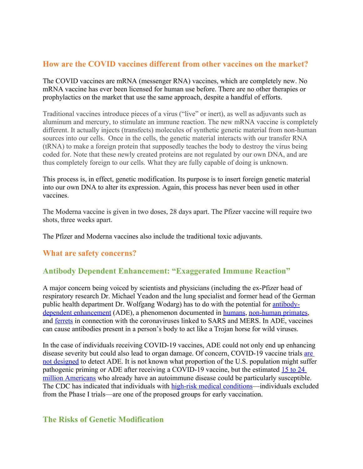### **How are the COVID vaccines different from other vaccines on the market?**

The COVID vaccines are mRNA (messenger RNA) vaccines, which are completely new. No mRNA vaccine has ever been licensed for human use before. There are no other therapies or prophylactics on the market that use the same approach, despite a handful of efforts.

Traditional vaccines introduce pieces of a virus ("live" or inert), as well as adjuvants such as aluminum and mercury, to stimulate an immune reaction. The new mRNA vaccine is completely different. It actually injects (transfects) molecules of synthetic genetic material from non-human sources into our cells. Once in the cells, the genetic material interacts with our transfer RNA (tRNA) to make a foreign protein that supposedly teaches the body to destroy the virus being coded for. Note that these newly created proteins are not regulated by our own DNA, and are thus completely foreign to our cells. What they are fully capable of doing is unknown.

This process is, in effect, genetic modification. Its purpose is to insert foreign genetic material into our own DNA to alter its expression. Again, this process has never been used in other vaccines.

The Moderna vaccine is given in two doses, 28 days apart. The Pfizer vaccine will require two shots, three weeks apart.

The Pfizer and Moderna vaccines also include the traditional toxic adjuvants.

### **What are safety concerns?**

#### **Antibody Dependent Enhancement: "Exaggerated Immune Reaction"**

A major concern being voiced by scientists and physicians (including the ex-Pfizer head of respiratory research Dr. Michael Yeadon and the lung specialist and former head of the German public health department Dr. Wolfgang Wodarg) has to do with the potential for [antibody](https://www.sciencedirect.com/science/article/pii/S1201971220307311)dependent [enhancement](https://www.sciencedirect.com/science/article/pii/S1201971220307311) (ADE), a phenomenon documented in [humans](https://www.ncbi.nlm.nih.gov/pmc/articles/PMC4018502/), [non-human](https://www.ncbi.nlm.nih.gov/pmc/articles/PMC6478436/) primates, and [ferrets](https://www.ncbi.nlm.nih.gov/pmc/articles/PMC525089/) in connection with the coronaviruses linked to SARS and MERS. In ADE, vaccines can cause antibodies present in a person's body to act like a Trojan horse for wild viruses.

In the case of individuals receiving COVID-19 vaccines, ADE could not only end up enhancing disease severity but could also lead to organ damage. Of concern, COVID-19 vaccine trials [are](https://pubmed.ncbi.nlm.nih.gov/33077678/) not [designed](https://pubmed.ncbi.nlm.nih.gov/33077678/) to detect ADE. It is not known what proportion of the U.S. population might suffer pathogenic priming or ADE after receiving a COVID-19 vaccine, but the estimated [15](https://www.autoimmuneregistry.org/autoimmune-statistics) to 24 million [Americans](https://www.autoimmuneregistry.org/autoimmune-statistics) who already have an autoimmune disease could be particularly susceptible. The CDC has indicated that individuals with high-risk medical [conditions](https://www.cdc.gov/vaccines/acip/meetings/downloads/slides-2020-08/COVID-08-Dooling.pdf)—individuals excluded from the Phase I trials—are one of the proposed groups for early vaccination.

## **The Risks of Genetic Modification**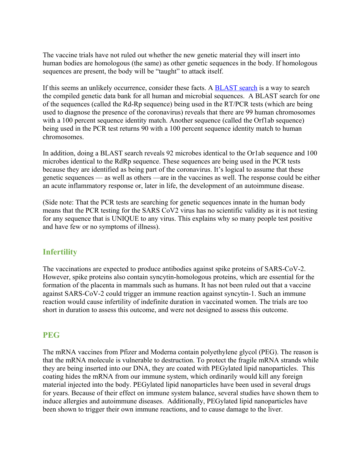The vaccine trials have not ruled out whether the new genetic material they will insert into human bodies are homologous (the same) as other genetic sequences in the body. If homologous sequences are present, the body will be "taught" to attack itself.

If this seems an unlikely occurrence, consider these facts. A **[BLAST](https://off-guardian.org/2020/11/17/covid19-evidence-of-global-fraud/)** search is a way to search the compiled genetic data bank for all human and microbial sequences. A BLAST search for one of the sequences (called the Rd-Rp sequence) being used in the RT/PCR tests (which are being used to diagnose the presence of the coronavirus) reveals that there are 99 human chromosomes with a 100 percent sequence identity match. Another sequence (called the Orf1ab sequence) being used in the PCR test returns 90 with a 100 percent sequence identity match to human chromosomes.

In addition, doing a BLAST search reveals 92 microbes identical to the Or1ab sequence and 100 microbes identical to the RdRp sequence. These sequences are being used in the PCR tests because they are identified as being part of the coronavirus. It's logical to assume that these genetic sequences — as well as others —are in the vaccines as well. The response could be either an acute inflammatory response or, later in life, the development of an autoimmune disease.

(Side note: That the PCR tests are searching for genetic sequences innate in the human body means that the PCR testing for the SARS CoV2 virus has no scientific validity as it is not testing for any sequence that is UNIQUE to any virus. This explains why so many people test positive and have few or no symptoms of illness).

# **Infertility**

The vaccinations are expected to produce antibodies against spike proteins of SARS-CoV-2. However, spike proteins also contain syncytin-homologous proteins, which are essential for the formation of the placenta in mammals such as humans. It has not been ruled out that a vaccine against SARS-CoV-2 could trigger an immune reaction against syncytin-1. Such an immune reaction would cause infertility of indefinite duration in vaccinated women. The trials are too short in duration to assess this outcome, and were not designed to assess this outcome.

#### **PEG**

The mRNA vaccines from Pfizer and Moderna contain polyethylene glycol (PEG). The reason is that the mRNA molecule is vulnerable to destruction. To protect the fragile mRNA strands while they are being inserted into our DNA, they are coated with PEGylated lipid nanoparticles. This coating hides the mRNA from our immune system, which ordinarily would kill any foreign material injected into the body. PEGylated lipid nanoparticles have been used in several drugs for years. Because of their effect on immune system balance, several studies have shown them to induce allergies and autoimmune diseases. Additionally, PEGylated lipid nanoparticles have been shown to trigger their own immune reactions, and to cause damage to the liver.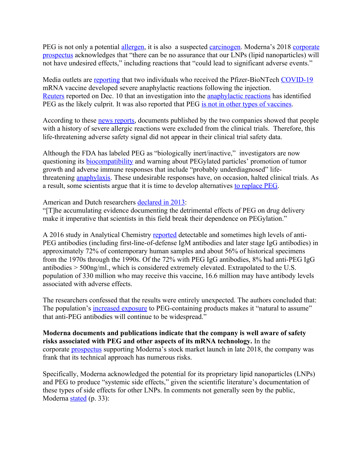PEG is not only a potential [allergen](https://aacijournal.biomedcentral.com/articles/10.1186/s13223-016-0172-7), it is also a suspected [carcinogen](https://pubmed.ncbi.nlm.nih.gov/7212494/). Moderna's 2018 [corporate](https://www.sec.gov/Archives/edgar/data/1682852/000119312518323562/d577473ds1.htm) [prospectus](https://www.sec.gov/Archives/edgar/data/1682852/000119312518323562/d577473ds1.htm) acknowledges that "there can be no assurance that our LNPs (lipid nanoparticles) will not have undesired effects," including reactions that "could lead to significant adverse events."

Media outlets are [reporting](https://www.wsj.com/articles/people-with-severe-allergies-shouldnt-get-covid-19-vaccine-says-u-k-regulator-after-reactions-11607515727?mod=business_minor_pos1) that two individuals who received the Pfizer-BioNTech [COVID-19](https://childrenshealthdefense.org/defender/covid-19-vaccine-news/) mRNA vaccine developed severe anaphylactic reactions following the injection. [Reuters](https://www.reuters.com/article/idUSKBN28J1D1) reported on Dec. 10 that an investigation into the [anaphylactic](https://childrenshealthdefense.org/defender/pfizer-covid-vaccine-allergic-reactions/) reactions has identified PEG as the likely culprit. It was also reported that PEG is not in other types of [vaccines](https://www.reuters.com/article/idUSKBN28J1D1).

According to these news [reports,](https://www.denverpost.com/2020/12/09/pfizer-covid-vaccine-allergic-reactions/) documents published by the two companies showed that people with a history of severe allergic reactions were excluded from the clinical trials. Therefore, this life-threatening adverse safety signal did not appear in their clinical trial safety data.

Although the FDA has labeled PEG as "biologically inert/inactive," investigators are now questioning its **[biocompatibility](https://jpharmsci.org/article/S0022-3549(20)30026-5/pdf)** and warning about PEGylated particles' promotion of tumor growth and adverse immune responses that include "probably underdiagnosed" lifethreatening [anaphylaxis](https://aacijournal.biomedcentral.com/articles/10.1186/s13223-016-0172-7). These undesirable responses have, on occasion, halted clinical trials. As a result, some scientists argue that it is time to develop alternatives to [replace](https://www.mdpi.com/2073-4360/12/2/298/htm) PEG.

American and Dutch researchers [declared](https://www.ncbi.nlm.nih.gov/pmc/articles/PMC4051498/) in 2013:

"[T]he accumulating evidence documenting the detrimental effects of PEG on drug delivery make it imperative that scientists in this field break their dependence on PEGylation."

A 2016 study in Analytical Chemistry [reported](https://pubmed.ncbi.nlm.nih.gov/27804292/) detectable and sometimes high levels of anti-PEG antibodies (including first-line-of-defense IgM antibodies and later stage IgG antibodies) in approximately 72% of contemporary human samples and about 56% of historical specimens from the 1970s through the 1990s. Of the 72% with PEG IgG antibodies, 8% had anti-PEG IgG antibodies > 500ng/ml., which is considered extremely elevated. Extrapolated to the U.S. population of 330 million who may receive this vaccine, 16.6 million may have antibody levels associated with adverse effects.

The researchers confessed that the results were entirely unexpected. The authors concluded that: The population's [increased](https://www.jaci-inpractice.org/article/S2213-2198(19)30591-4/fulltext) exposure to PEG-containing products makes it "natural to assume" that anti-PEG antibodies will continue to be widespread."

**Moderna documents and publications indicate that the company is well aware of safety risks associated with PEG and other aspects of its mRNA technology.** In the corporate [prospectus](https://www.sec.gov/Archives/edgar/data/1682852/000119312518323562/d577473ds1.htm) supporting Moderna's stock market launch in late 2018, the company was frank that its technical approach has numerous risks.

Specifically, Moderna acknowledged the potential for its proprietary lipid nanoparticles (LNPs) and PEG to produce "systemic side effects," given the scientific literature's documentation of these types of side effects for other LNPs. In comments not generally seen by the public, Moderna [stated](https://www.sec.gov/Archives/edgar/data/1682852/000119312518323562/d577473ds1.htm) (p. 33):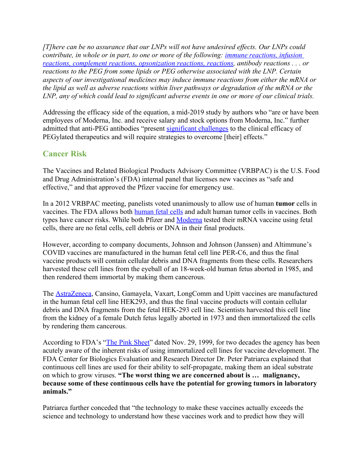*[T]here can be no assurance that our LNPs will not have undesired effects. Our LNPs could contribute, in whole or in part, to one or more of the following: [immune reactions, infusion](https://www.sciencedirect.com/science/article/pii/B978044464081900005X)  [reactions, complement reactions, opsonization reactions, reactions](https://www.sciencedirect.com/science/article/pii/B978044464081900005X), antibody reactions . . . or reactions to the PEG from some lipids or PEG otherwise associated with the LNP. Certain aspects of our investigational medicines may induce immune reactions from either the mRNA or the lipid as well as adverse reactions within liver pathways or degradation of the mRNA or the LNP, any of which could lead to significant adverse events in one or more of our clinical trials.*

Addressing the efficacy side of the equation, a mid-2019 study by authors who "are or have been employees of Moderna, Inc. and receive salary and stock options from Moderna, Inc." further admitted that anti-PEG antibodies "present [significant](https://www.immunohorizons.org/content/3/7/282) challenges to the clinical efficacy of PEGylated therapeutics and will require strategies to overcome [their] effects."

# **Cancer Risk**

The Vaccines and Related Biological Products Advisory Committee (VRBPAC) is the U.S. Food and Drug Administration's (FDA) internal panel that licenses new vaccines as "safe and effective," and that approved the Pfizer vaccine for emergency use.

In a 2012 VRBPAC meeting, panelists voted unanimously to allow use of human **tumor** cells in vaccines. The FDA allows both **[human](https://childrenshealthdefense.org/news/new-data-shows-aborted-fetal-cells-in-vaccines/) fetal cells** and adult human tumor cells in vaccines. Both types have cancer risks. While both Pfizer and [Moderna](https://childrenshealthdefense.org/defender/media-hypes-modernas-covid-vaccine-downplays-risks/) tested their mRNA vaccine using fetal cells, there are no fetal cells, cell debris or DNA in their final products.

However, according to company documents, Johnson and Johnson (Janssen) and Altimmune's COVID vaccines are manufactured in the human fetal cell line PER-C6, and thus the final vaccine products will contain cellular debris and DNA fragments from these cells. Researchers harvested these cell lines from the eyeball of an 18-week-old human fetus aborted in 1985, and then rendered them immortal by making them cancerous.

The [AstraZeneca](https://childrenshealthdefense.org/news/covid-19-vaccine-participant-develops-neurological-symptoms-astrazeneca-pauses-trial/), Cansino, Gamayela, Vaxart, LongComm and Upitt vaccines are manufactured in the human fetal cell line HEK293, and thus the final vaccine products will contain cellular debris and DNA fragments from the fetal HEK-293 cell line. Scientists harvested this cell line from the kidney of a female Dutch fetus legally aborted in 1973 and then immortalized the cells by rendering them cancerous.

According to FDA's "The Pink [Sheet](https://childrenshealthdefense.org/wp-content/uploads/FDA-Pink-Sheets-99.pdf)" dated Nov. 29, 1999, for two decades the agency has been acutely aware of the inherent risks of using immortalized cell lines for vaccine development. The FDA Center for Biologics Evaluation and Research Director Dr. Peter Patriarca explained that continuous cell lines are used for their ability to self-propagate, making them an ideal substrate on which to grow viruses. **"The worst thing we are concerned about is … malignancy, because some of these continuous cells have the potential for growing tumors in laboratory animals."**

Patriarca further conceded that "the technology to make these vaccines actually exceeds the science and technology to understand how these vaccines work and to predict how they will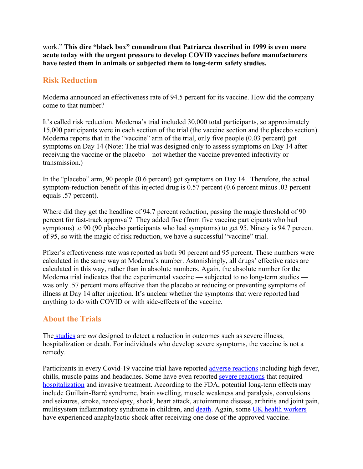work." **This dire "black box" conundrum that Patriarca described in 1999 is even more acute today with the urgent pressure to develop COVID vaccines before manufacturers have tested them in animals or subjected them to long-term safety studies.**

#### **Risk Reduction**

Moderna announced an effectiveness rate of 94.5 percent for its vaccine. How did the company come to that number?

It's called risk reduction. Moderna's trial included 30,000 total participants, so approximately 15,000 participants were in each section of the trial (the vaccine section and the placebo section). Moderna reports that in the "vaccine" arm of the trial, only five people (0.03 percent) got symptoms on Day 14 (Note: The trial was designed only to assess symptoms on Day 14 after receiving the vaccine or the placebo – not whether the vaccine prevented infectivity or transmission.)

In the "placebo" arm, 90 people (0.6 percent) got symptoms on Day 14. Therefore, the actual symptom-reduction benefit of this injected drug is 0.57 percent (0.6 percent minus .03 percent equals .57 percent).

Where did they get the headline of 94.7 percent reduction, passing the magic threshold of 90 percent for fast-track approval? They added five (from five vaccine participants who had symptoms) to 90 (90 placebo participants who had symptoms) to get 95. Ninety is 94.7 percent of 95, so with the magic of risk reduction, we have a successful "vaccine" trial.

Pfizer's effectiveness rate was reported as both 90 percent and 95 percent. These numbers were calculated in the same way at Moderna's number. Astonishingly, all drugs' effective rates are calculated in this way, rather than in absolute numbers. Again, the absolute number for the Moderna trial indicates that the experimental vaccine — subjected to no long-term studies was only .57 percent more effective than the placebo at reducing or preventing symptoms of illness at Day 14 after injection. It's unclear whether the symptoms that were reported had anything to do with COVID or with side-effects of the vaccine.

### **About the Trials**

The [studies](https://www.bmj.com/content/371/bmj.m4037) are *not* designed to detect a reduction in outcomes such as severe illness, hospitalization or death. For individuals who develop severe symptoms, the vaccine is not a remedy.

Participants in every Covid-19 vaccine trial have reported adverse [reactions](https://www.nejm.org/doi/full/10.1056/NEJMoa2022483.) including high fever, chills, muscle pains and headaches. Some have even reported severe [reactions](https://www.scientificamerican.com/article/nih-very-concerned-about-serious-side-effect-in-coronavirus-vaccine-trial/) that required [hospitalization](https://childrenshealthdefense.org/defender/covid-vaccine-candidates-safety-concerns/?itm_term=home) and invasive treatment. According to the FDA, potential long-term effects may include Guillain-Barré syndrome, brain swelling, muscle weakness and paralysis, convulsions and seizures, stroke, narcolepsy, shock, heart attack, autoimmune disease, arthritis and joint pain, multisystem inflammatory syndrome in children, and [death](https://www.greenmedinfo.com/blog/covid-19-vaccine-bombshell-fda-documents-reveal-death-21-serious-conditions-possi1). Again, some UK health [workers](https://www.cbsnews.com/amp/news/covid-vaccine-pfizer-shot-uk-warning-people-with-history-of-significant-allergic-reactions/#app) have experienced anaphylactic shock after receiving one dose of the approved vaccine.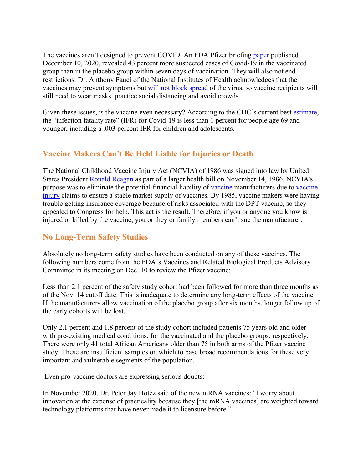The vaccines aren't designed to prevent COVID. An FDA Pfizer briefing [paper](https://www.fda.giv/media/144245/download) published December 10, 2020, revealed 43 percent more suspected cases of Covid-19 in the vaccinated group than in the placebo group within seven days of vaccination. They will also not end restrictions. Dr. Anthony Fauci of the National Institutes of Health acknowledges that the vaccines may prevent symptoms but will not block [spread](https://finance.yahoo.com/news/fauci-vaccines-will-only-prevent-symptoms-not-block-the-virus-195051568.html) of the virus, so vaccine recipients will still need to wear masks, practice social distancing and avoid crowds.

Given these issues, is the vaccine even necessary? According to the CDC's current best [estimate,](https://www.cdc.gov/coronavirus/2019-ncov/hcp/planning-scenarios.html) the "infection fatality rate" (IFR) for Covid-19 is less than 1 percent for people age 69 and younger, including a .003 percent IFR for children and adolescents.

## **Vaccine Makers Can't Be Held Liable for Injuries or Death**

The National Childhood Vaccine Injury Act (NCVIA) of 1986 was signed into law by United States President Ronald [Reagan](https://en.wikipedia.org/wiki/Ronald_Reagan) as part of a larger health bill on November 14, 1986. NCVIA's purpose was to eliminate the potential financial liability of [vaccine](https://en.wikipedia.org/wiki/Vaccine_injury) manufacturers due to vaccine [injury](https://en.wikipedia.org/wiki/Vaccine_injury) claims to ensure a stable market supply of vaccines. By 1985, vaccine makers were having trouble getting insurance coverage because of risks associated with the DPT vaccine, so they appealed to Congress for help. This act is the result. Therefore, if you or anyone you know is injured or killed by the vaccine, you or they or family members can't sue the manufacturer.

# **No Long-Term Safety Studies**

Absolutely no long-term safety studies have been conducted on any of these vaccines. The following numbers come from the FDA's Vaccines and Related Biological Products Advisory Committee in its meeting on Dec. 10 to review the Pfizer vaccine:

Less than 2.1 percent of the safety study cohort had been followed for more than three months as of the Nov. 14 cutoff date. This is inadequate to determine any long-term effects of the vaccine. If the manufacturers allow vaccination of the placebo group after six months, longer follow up of the early cohorts will be lost.

Only 2.1 percent and 1.8 percent of the study cohort included patients 75 years old and older with pre-existing medical conditions, for the vaccinated and the placebo groups, respectively. There were only 41 total African Americans older than 75 in both arms of the Pfizer vaccine study. These are insufficient samples on which to base broad recommendations for these very important and vulnerable segments of the population.

Even pro-vaccine doctors are expressing serious doubts:

In November 2020, Dr. Peter Jay Hotez said of the new mRNA vaccines: "I worry about innovation at the expense of practicality because they [the mRNA vaccines] are weighted toward technology platforms that have never made it to licensure before."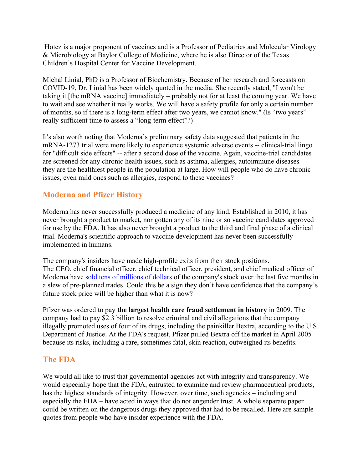Hotez is a major proponent of vaccines and is a Professor of Pediatrics and Molecular Virology & Microbiology at Baylor College of Medicine, where he is also Director of the Texas Children's Hospital Center for Vaccine Development.

Michal Linial, PhD is a Professor of Biochemistry. Because of her research and forecasts on COVID-19, Dr. Linial has been widely quoted in the media. She recently stated, "I won't be taking it [the mRNA vaccine] immediately – probably not for at least the coming year. We have to wait and see whether it really works. We will have a safety profile for only a certain number of months, so if there is a long-term effect after two years, we cannot know." (Is "two years" really sufficient time to assess a "long-term effect"?)

It's also worth noting that Moderna's preliminary safety data suggested that patients in the mRNA-1273 trial were more likely to experience systemic adverse events -- clinical-trial lingo for "difficult side effects" -- after a second dose of the vaccine. Again, vaccine-trial candidates are screened for any chronic health issues, such as asthma, allergies, autoimmune diseases they are the healthiest people in the population at large. How will people who do have chronic issues, even mild ones such as allergies, respond to these vaccines?

# **Moderna and Pfizer History**

Moderna has never successfully produced a medicine of any kind. Established in 2010, it has never brought a product to market, nor gotten any of its nine or so vaccine candidates approved for use by the FDA. It has also never brought a product to the third and final phase of a clinical trial. Moderna's scientific approach to vaccine development has never been successfully implemented in humans.

The company's insiders have made high-profile exits from their stock positions. The CEO, chief financial officer, chief technical officer, president, and chief medical officer of Moderna have sold tens of [millions](https://www.fool.com/investing/2020/05/27/why-you-shouldnt-worry-about-modernas-recent-insid.aspx) of dollars of the company's stock over the last five months in a slew of pre-planned trades. Could this be a sign they don't have confidence that the company's future stock price will be higher than what it is now?

Pfizer was ordered to pay **the largest health care fraud settlement in history** in 2009. The company had to pay \$2.3 billion to resolve criminal and civil allegations that the company illegally promoted uses of four of its drugs, including the painkiller Bextra, according to the U.S. Department of Justice. At the FDA's request, Pfizer pulled Bextra off the market in April 2005 because its risks, including a rare, sometimes fatal, skin reaction, outweighed its benefits.

### **The FDA**

We would all like to trust that governmental agencies act with integrity and transparency. We would especially hope that the FDA, entrusted to examine and review pharmaceutical products, has the highest standards of integrity. However, over time, such agencies – including and especially the FDA – have acted in ways that do not engender trust. A whole separate paper could be written on the dangerous drugs they approved that had to be recalled. Here are sample quotes from people who have insider experience with the FDA.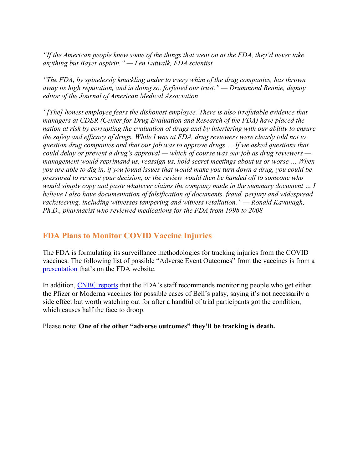*"If the American people knew some of the things that went on at the FDA, they'd never take anything but Bayer aspirin." — Len Lutwalk, FDA scientist*

*"The FDA, by spinelessly knuckling under to every whim of the drug companies, has thrown away its high reputation, and in doing so, forfeited our trust." — Drummond Rennie, deputy editor of the Journal of American Medical Association*

*"[The] honest employee fears the dishonest employee. There is also irrefutable evidence that managers at CDER (Center for Drug Evaluation and Research of the FDA) have placed the nation at risk by corrupting the evaluation of drugs and by interfering with our ability to ensure the safety and efficacy of drugs. While I was at FDA, drug reviewers were clearly told not to question drug companies and that our job was to approve drugs … If we asked questions that could delay or prevent a drug's approval — which of course was our job as drug reviewers management would reprimand us, reassign us, hold secret meetings about us or worse … When you are able to dig in, if you found issues that would make you turn down a drug, you could be pressured to reverse your decision, or the review would then be handed off to someone who would simply copy and paste whatever claims the company made in the summary document … I believe I also have documentation of falsification of documents, fraud, perjury and widespread racketeering, including witnesses tampering and witness retaliation." — Ronald Kavanagh, Ph.D., pharmacist who reviewed medications for the FDA from 1998 to 2008*

## **FDA Plans to Monitor COVID Vaccine Injuries**

The FDA is formulating its surveillance methodologies for tracking injuries from the COVID vaccines. The following list of possible "Adverse Event Outcomes" from the vaccines is from a [presentation](https://www.youtube.com/watch?v=qv73lxXq09k&feature=emb_rel_pause) that's on the FDA website.

In addition, CNBC [reports](https://www.cnbc.com/2020/12/15/fda-staff-recommends-watching-for-bells-palsy-in-moderna-and-pfizer-vaccine-recipients.html) that the FDA's staff recommends monitoring people who get either the Pfizer or Moderna vaccines for possible cases of Bell's palsy, saying it's not necessarily a side effect but worth watching out for after a handful of trial participants got the condition, which causes half the face to droop.

Please note: **One of the other "adverse outcomes" they'll be tracking is death.**